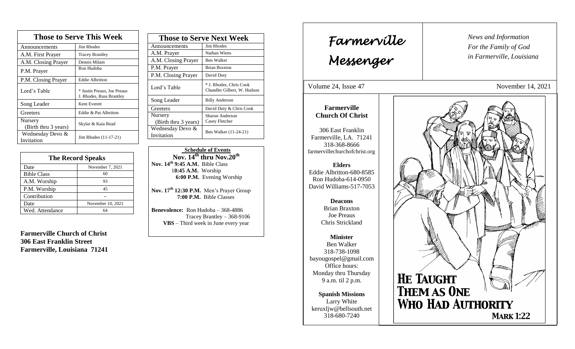| <b>Those to Serve This Week</b> |                                                         |  |
|---------------------------------|---------------------------------------------------------|--|
| Announcements                   | <b>Jim Rhodes</b>                                       |  |
| A.M. First Prayer               | <b>Tracey Brantley</b>                                  |  |
| A.M. Closing Prayer             | Dennis Milam                                            |  |
| P.M. Prayer                     | Ron Hudoba                                              |  |
| P.M. Closing Prayer             | <b>Eddie Albritton</b>                                  |  |
| Lord's Table                    | * Justin Preaus, Joe Preaus<br>J. Rhodes, Russ Brantley |  |
| Song Leader                     | Kent Everett                                            |  |
| Greeters                        | Eddie & Pat Albritton                                   |  |
| Nursery<br>(Birth thru 3 years) | Skylar & Kaia Read                                      |  |
| Wednesday Devo &<br>Invitation  | Jim Rhodes (11-17-21)                                   |  |

| <b>The Record Speaks</b> |                   |
|--------------------------|-------------------|
| Date                     | November 7, 2021  |
| <b>Bible Class</b>       | 60                |
| A.M. Worship             | 93                |
| P.M. Worship             | 45                |
| Contribution             |                   |
| Date                     | November 10, 2021 |
| Wed. Attendance          | 64                |

**Farmerville Church of Christ 306 East Franklin Street Farmerville, Louisiana 71241**

| <b>Those to Serve Next Week</b> |                                                        |
|---------------------------------|--------------------------------------------------------|
| Announcements                   | Jim Rhodes                                             |
| A.M. Prayer                     | Nathan Wiens                                           |
| A.M. Closing Prayer             | Ben Walker                                             |
| P.M. Prayer                     | <b>Brian Braxton</b>                                   |
| P.M. Closing Prayer             | David Duty                                             |
| Lord's Table                    | * J. Rhodes, Chris Cook<br>Chandler Gilbert, W. Hudson |
| Song Leader                     | <b>Billy Anderson</b>                                  |
| Greeters                        | David Duty & Chris Cook                                |
| Nursery<br>(Birth thru 3 years) | Sharon Anderson<br>Casey Fletcher                      |
| Wednesday Devo &<br>Invitation  | Ben Walker (11-24-21)                                  |

 **Schedule of Events Nov. 14th thru Nov.20th Nov. 14th 9:45 A.M.** Bible Class 1**0:45 A.M.** Worship  **6:00 P.M.** Evening Worship

**Nov. 17 th 12:30 P.M.** Men's Prayer Group **7:00 P.M.** Bible Classes

**Benevolence:** Ron Hudoba – 368-4886 Tracey Brantley – 368-9106 **VBS** – Third week in June every year